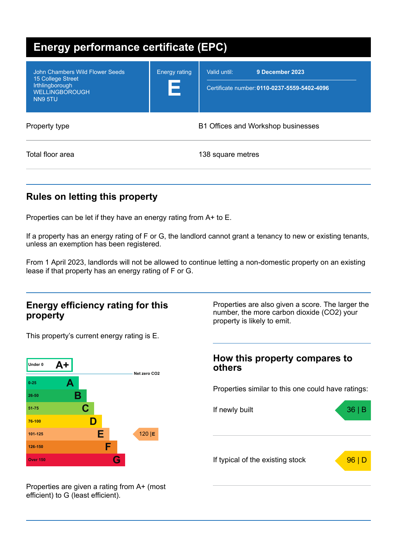| Energy performance certificate (EPC)                                                                        |                           |                                                                                 |  |  |
|-------------------------------------------------------------------------------------------------------------|---------------------------|---------------------------------------------------------------------------------|--|--|
| John Chambers Wild Flower Seeds<br>15 College Street<br>Irthlingborough<br><b>WELLINGBOROUGH</b><br>NN9 5TU | <b>Energy rating</b><br>E | 9 December 2023<br>Valid until:<br>Certificate number: 0110-0237-5559-5402-4096 |  |  |
| Property type                                                                                               |                           | <b>B1 Offices and Workshop businesses</b>                                       |  |  |
| Total floor area                                                                                            |                           | 138 square metres                                                               |  |  |

## **Rules on letting this property**

Properties can be let if they have an energy rating from A+ to E.

If a property has an energy rating of F or G, the landlord cannot grant a tenancy to new or existing tenants, unless an exemption has been registered.

From 1 April 2023, landlords will not be allowed to continue letting a non-domestic property on an existing lease if that property has an energy rating of F or G.

### **Energy efficiency rating for this property**

This property's current energy rating is E.



Properties are also given a score. The larger the number, the more carbon dioxide (CO2) your property is likely to emit.

## **How this property compares to others**

Properties similar to this one could have ratings:



Properties are given a rating from A+ (most efficient) to G (least efficient).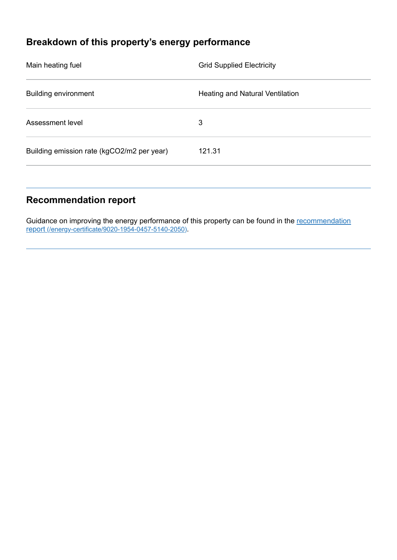# **Breakdown of this property's energy performance**

| Main heating fuel                          | <b>Grid Supplied Electricity</b> |
|--------------------------------------------|----------------------------------|
| <b>Building environment</b>                | Heating and Natural Ventilation  |
| Assessment level                           | 3                                |
| Building emission rate (kgCO2/m2 per year) | 121.31                           |
|                                            |                                  |

## **Recommendation report**

Guidance on improving the energy performance of this property can be found in the recommendation report [\(/energy-certificate/9020-1954-0457-5140-2050\)](https://find-energy-certificate.service.gov.uk/energy-certificate/9020-1954-0457-5140-2050).